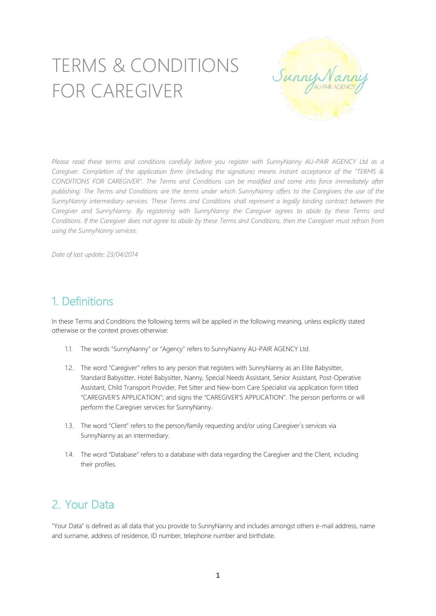# TERMS & CONDITIONS FOR CAREGIVER



Please read these terms and conditions carefully before you register with SunnyNanny AU-PAIR AGENCY Ltd as a Caregiver. Completion of the application form (including the signature) means instant acceptance of the "TERMS & *CONDITIONS FOR CAREGIVER". The Terms and Conditions can be modified and come into force immediately after* publishing. The Terms and Conditions are the terms under which SunnyNanny offers to the Caregivers the use of the *SunnyNanny intermediary services. These Terms and Conditions shall represent a legally binding contract between the Caregiver and SunnyNanny. By registering with SunnyNanny the Caregiver agrees to abide by these Terms and* Conditions. If the Caregiver does not agree to abide by these Terms and Conditions, then the Caregiver must refrain from *using the SunnyNanny services.*

*Date of last update: 23/04/2014*

### 1. Definitions

In these Terms and Conditions the following terms will be applied in the following meaning, unless explicitly stated otherwise or the context proves otherwise:

- 1.1. The words "SunnyNanny" or "Agency" refers to SunnyNanny AU-PAIR AGENCY Ltd.
- 1.2. The word "Caregiver" refers to any person that registers with SunnyNanny as an Elite Babysitter, Standard Babysitter, Hotel Babysitter, Nanny, Special Needs Assistant, Senior Assistant, Post-Operative Assistant, Child Transport Provider, Pet Sitter and New-born Care Specialist via application form titled "CAREGIVER'S APPLICATION"; and signs the "CAREGIVER'S APPLICATION". The person performs or will perform the Caregiver services for SunnyNanny.
- 1.3. The word "Client" refers to the person/family requesting and/or using Caregiver´s services via SunnyNanny as an intermediary.
- 1.4. The word "Database" refers to a database with data regarding the Caregiver and the Client, including their profiles.

# 2. Your Data

"Your Data" is defined as all data that you provide to SunnyNanny and includes amongst others e-mail address, name and surname, address of residence, ID number, telephone number and birthdate.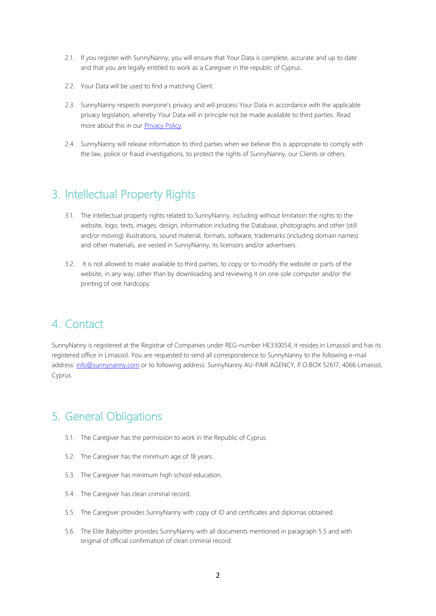- 2.1. If you register with SunnyNanny, you will ensure that Your Data is complete, accurate and up to date and that you are legally entitled to work as a Caregiver in the republic of Cyprus.
- 2.2. Your Data will be used to find a matching Client.
- 2.3. SunnyNanny respects everyone's privacy and will process Your Data in accordance with the applicable privacy legislation, whereby Your Data will in principle not be made available to third parties. Read more about this in our [Privacy Policy.](http://media.wix.com/ugd/4e2671_57bcc5978f334b22ad098be9843f3590.pdf)
- 2.4. SunnyNanny will release information to third parties when we believe this is appropriate to comply with the law, police or fraud investigations, to protect the rights of SunnyNanny, our Clients or others.

#### 3. Intellectual Property Rights

- 3.1. The intellectual property rights related to SunnyNanny, including without limitation the rights to the website, logo, texts, images, design, information including the Database, photographs and other (still and/or moving) illustrations, sound material, formats, software, trademarks (including domain names) and other materials, are vested in SunnyNanny, its licensors and/or advertisers.
- 3.2. It is not allowed to make available to third parties, to copy or to modify the website or parts of the website, in any way, other than by downloading and reviewing it on one sole computer and/or the printing of one hardcopy.

### 4. Contact

SunnyNanny is registered at the Registrar of Companies under REG-number HE330054, it resides in Limassol and has its registered office in Limassol. You are requested to send all correspondence to SunnyNanny to the following e-mail address: [info@sunnynanny.com](mailto:info@sunnynanny.com) or to following address: SunnyNanny AU-PAIR AGENCY, P.O.BOX 52617, 4066 Limassol, Cyprus.

# 5. General Obligations

- 5.1. The Caregiver has the permission to work in the Republic of Cyprus.
- 5.2. The Caregiver has the minimum age of 18 years.
- 5.3. The Caregiver has minimum high school education.
- 5.4. The Caregiver has clean criminal record.
- 5.5. The Caregiver provides SunnyNanny with copy of ID and certificates and diplomas obtained.
- 5.6. The Elite Babysitter provides SunnyNanny with all documents mentioned in paragraph 5.5 and with original of official confirmation of clean criminal record.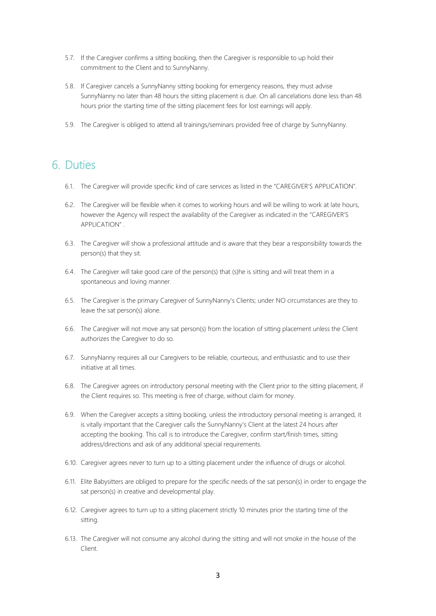- 5.7. If the Caregiver confirms a sitting booking, then the Caregiver is responsible to up hold their commitment to the Client and to SunnyNanny.
- 5.8. If Caregiver cancels a SunnyNanny sitting booking for emergency reasons, they must advise SunnyNanny no later than 48 hours the sitting placement is due. On all cancelations done less than 48 hours prior the starting time of the sitting placement fees for lost earnings will apply.
- 5.9. The Caregiver is obliged to attend all trainings/seminars provided free of charge by SunnyNanny.

### 6. Duties

- 6.1. The Caregiver will provide specific kind of care services as listed in the "CAREGIVER'S APPLICATION".
- 6.2. The Caregiver will be flexible when it comes to working hours and will be willing to work at late hours, however the Agency will respect the availability of the Caregiver as indicated in the "CAREGIVER'S APPLICATION" .
- 6.3. The Caregiver will show a professional attitude and is aware that they bear a responsibility towards the person(s) that they sit.
- 6.4. The Caregiver will take good care of the person(s) that (s)he is sitting and will treat them in a spontaneous and loving manner.
- 6.5. The Caregiver is the primary Caregiver of SunnyNanny's Clients; under NO circumstances are they to leave the sat person(s) alone.
- 6.6. The Caregiver will not move any sat person(s) from the location of sitting placement unless the Client authorizes the Caregiver to do so.
- 6.7. SunnyNanny requires all our Caregivers to be reliable, courteous, and enthusiastic and to use their initiative at all times.
- 6.8. The Caregiver agrees on introductory personal meeting with the Client prior to the sitting placement, if the Client requires so. This meeting is free of charge, without claim for money.
- 6.9. When the Caregiver accepts a sitting booking, unless the introductory personal meeting is arranged, it is vitally important that the Caregiver calls the SunnyNanny's Client at the latest 24 hours after accepting the booking. This call is to introduce the Caregiver, confirm start/finish times, sitting address/directions and ask of any additional special requirements.
- 6.10. Caregiver agrees never to turn up to a sitting placement under the influence of drugs or alcohol.
- 6.11. Elite Babysitters are obliged to prepare for the specific needs of the sat person(s) in order to engage the sat person(s) in creative and developmental play.
- 6.12. Caregiver agrees to turn up to a sitting placement strictly 10 minutes prior the starting time of the sitting.
- 6.13. The Caregiver will not consume any alcohol during the sitting and will not smoke in the house of the Client.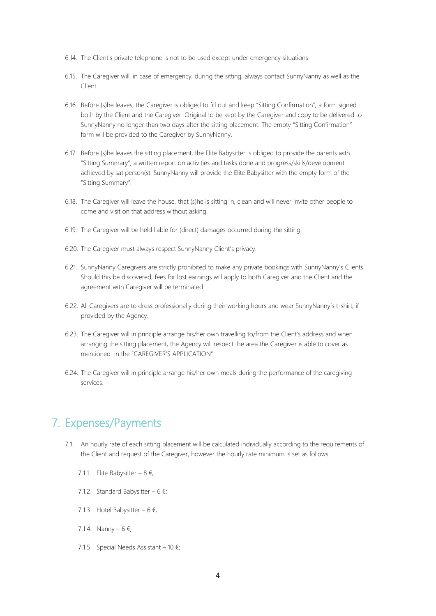- 6.14. The Client's private telephone is not to be used except under emergency situations.
- 6.15. The Caregiver will, in case of emergency, during the sitting, always contact SunnyNanny as well as the Client.
- 6.16. Before (s)he leaves, the Caregiver is obliged to fill out and keep "Sitting Confirmation", a form signed both by the Client and the Caregiver. Original to be kept by the Caregiver and copy to be delivered to SunnyNanny no longer than two days after the sitting placement. The empty "Sitting Confirmation" form will be provided to the Caregiver by SunnyNanny.
- 6.17. Before (s)he leaves the sitting placement, the Elite Babysitter is obliged to provide the parents with "Sitting Summary", a written report on activities and tasks done and progress/skills/development achieved by sat person(s). SunnyNanny will provide the Elite Babysitter with the empty form of the "Sitting Summary".
- 6.18. The Caregiver will leave the house, that (s)he is sitting in, clean and will never invite other people to come and visit on that address without asking.
- 6.19. The Caregiver will be held liable for (direct) damages occurred during the sitting.
- 6.20. The Caregiver must always respect SunnyNanny Client's privacy.
- 6.21. SunnyNanny Caregivers are strictly prohibited to make any private bookings with SunnyNanny's Clients. Should this be discovered, fees for lost earnings will apply to both Caregiver and the Client and the agreement with Caregiver will be terminated.
- 6.22. All Caregivers are to dress professionally during their working hours and wear SunnyNanny's t-shirt, if provided by the Agency.
- 6.23. The Caregiver will in principle arrange his/her own travelling to/from the Client's address and when arranging the sitting placement, the Agency will respect the area the Caregiver is able to cover as mentioned in the "CAREGIVER'S APPLICATION".
- 6.24. The Caregiver will in principle arrange his/her own meals during the performance of the caregiving services.

### 7. Expenses/Payments

- 7.1. An hourly rate of each sitting placement will be calculated individually according to the requirements of the Client and request of the Caregiver, however the hourly rate minimum is set as follows:
	- 7.1.1. Elite Babysitter 8  $\epsilon$ ;
	- 7.1.2. Standard Babysitter 6  $\epsilon$ ;
	- 7.1.3. Hotel Babysitter 6 €;
	- 7.1.4. Nanny 6 €;
	- 7.1.5. Special Needs Assistant 10 €;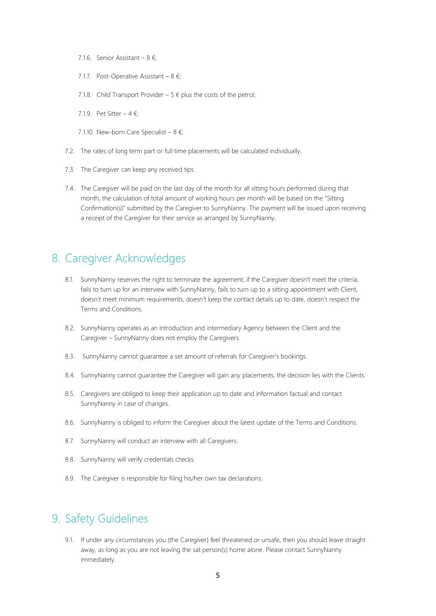- 7.1.6. Senior Assistant 8 €;
- 7.1.7. Post-Operative Assistant  $8 \epsilon$ ;
- 7.1.8. Child Transport Provider 5  $\epsilon$  plus the costs of the petrol:
- 7.1.9 Pet Sitter  $4 \notin$ ;
- 7.1.10. New-born Care Specialist  $8 \notin$ ;
- 7.2. The rates of long term part or full time placements will be calculated individually.
- 7.3. The Caregiver can keep any received tips.
- 7.4. The Caregiver will be paid on the last day of the month for all sitting hours performed during that month, the calculation of total amount of working hours per month will be based on the "Sitting Confirmation(s)" submitted by the Caregiver to SunnyNanny. The payment will be issued upon receiving a receipt of the Caregiver for their service as arranged by SunnyNanny.

#### 8. Caregiver Acknowledges

- 8.1. SunnyNanny reserves the right to terminate the agreement; if the Caregiver doesn't meet the criteria, fails to turn up for an interview with SunnyNanny, fails to turn up to a sitting appointment with Client, doesn't meet minimum requirements, doesn't keep the contact details up to date, doesn't respect the Terms and Conditions.
- 8.2. SunnyNanny operates as an introduction and intermediary Agency between the Client and the Caregiver – SunnyNanny does not employ the Caregivers.
- 8.3. SunnyNanny cannot guarantee a set amount of referrals for Caregiver's bookings.
- 8.4. SunnyNanny cannot guarantee the Caregiver will gain any placements, the decision lies with the Clients.
- 8.5. Caregivers are obliged to keep their application up to date and information factual and contact SunnyNanny in case of changes.
- 8.6. SunnyNanny is obliged to inform the Caregiver about the latest update of the Terms and Conditions.
- 8.7. SunnyNanny will conduct an interview with all Caregivers.
- 8.8. SunnyNanny will verify credentials checks.
- 8.9. The Caregiver is responsible for filing his/her own tax declarations.

#### 9. Safety Guidelines

9.1. If under any circumstances you (the Caregiver) feel threatened or unsafe, then you should leave straight away, as long as you are not leaving the sat person(s) home alone. Please contact SunnyNanny immediately.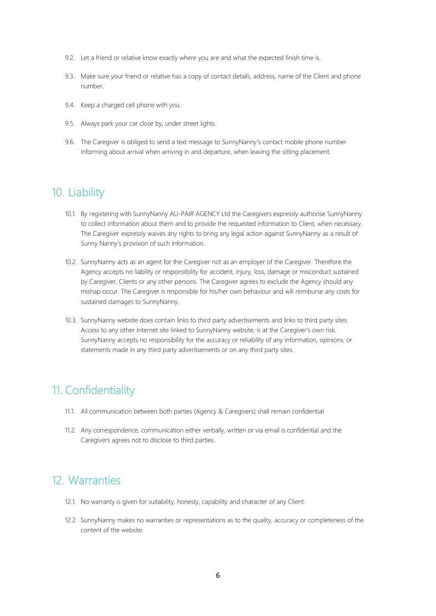- 9.2. Let a friend or relative know exactly where you are and what the expected finish time is.
- 9.3. Make sure your friend or relative has a copy of contact details, address, name of the Client and phone number.
- 9.4. Keep a charged cell phone with you.
- 9.5. Always park your car close by, under street lights.
- 9.6. The Caregiver is obliged to send a text message to SunnyNanny's contact mobile phone number informing about arrival when arriving in and departure, when leaving the sitting placement.

#### 10. Liability

- 10.1. By registering with SunnyNanny AU-PAIR AGENCY Ltd the Caregivers expressly authorise SunnyNanny to collect information about them and to provide the requested information to Client, when necessary. The Caregiver expressly waives any rights to bring any legal action against SunnyNanny as a result of Sunny Nanny's provision of such information.
- 10.2. SunnyNanny acts as an agent for the Caregiver not as an employer of the Caregiver. Therefore the Agency accepts no liability or responsibility for accident, injury, loss, damage or misconduct sustained by Caregiver, Clients or any other persons. The Caregiver agrees to exclude the Agency should any mishap occur. The Caregiver is responsible for his/her own behaviour and will reimburse any costs for sustained damages to SunnyNanny.
- 10.3. SunnyNanny website does contain links to third party advertisements and links to third party sites. Access to any other Internet site linked to SunnyNanny website, is at the Caregiver's own risk. SunnyNanny accepts no responsibility for the accuracy or reliability of any information, opinions, or statements made in any third party advertisements or on any third party sites.

### 11. Confidentiality

- 11.1. All communication between both parties (Agency & Caregivers) shall remain confidential
- 11.2. Any correspondence, communication either verbally, written or via email is confidential and the Caregivers agrees not to disclose to third parties.

## 12. Warranties

- 12.1. No warranty is given for suitability, honesty, capability and character of any Client.
- 12.2. SunnyNanny makes no warranties or representations as to the quality, accuracy or completeness of the content of the website.